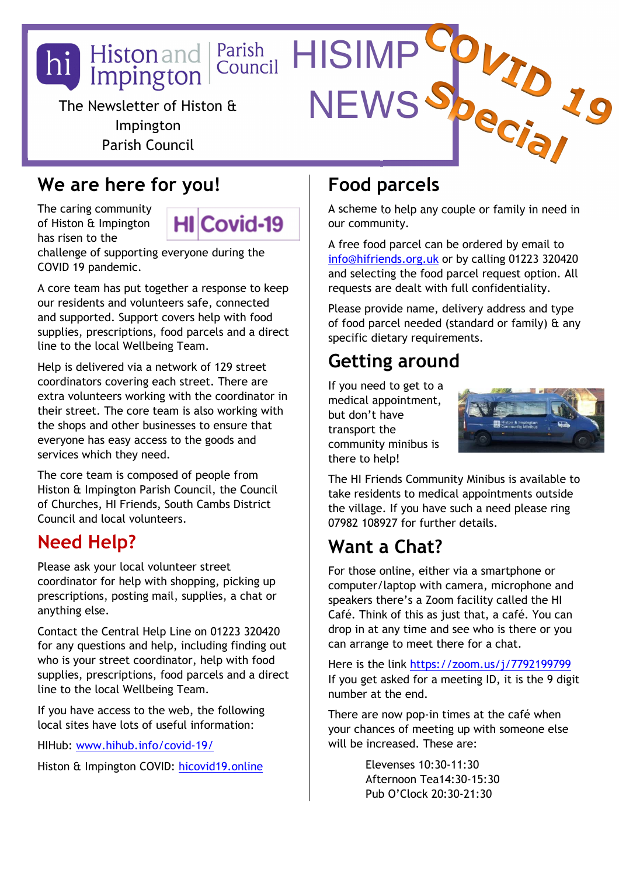

### **We are here for you!**

The caring community of Histon & Impington has risen to the

Covid-19 нш

challenge of supporting everyone during the COVID 19 pandemic.

A core team has put together a response to keep our residents and volunteers safe, connected and supported. Support covers help with food supplies, prescriptions, food parcels and a direct line to the local Wellbeing Team.

Help is delivered via a network of 129 street coordinators covering each street. There are extra volunteers working with the coordinator in their street. The core team is also working with the shops and other businesses to ensure that everyone has easy access to the goods and services which they need.

The core team is composed of people from Histon & Impington Parish Council, the Council of Churches, HI Friends, South Cambs District Council and local volunteers.

### **Need Help?**

Please ask your local volunteer street coordinator for help with shopping, picking up prescriptions, posting mail, supplies, a chat or anything else.

Contact the Central Help Line on 01223 320420 for any questions and help, including finding out who is your street coordinator, help with food supplies, prescriptions, food parcels and a direct line to the local Wellbeing Team.

If you have access to the web, the following local sites have lots of useful information:

HIHub: www.hihub.info/covid-19/

Histon & Impington COVID: hicovid19.online

### **Food parcels**

A scheme to help any couple or family in need in our community.

A free food parcel can be ordered by email to info@hifriends.org.uk or by calling 01223 320420 and selecting the food parcel request option. All requests are dealt with full confidentiality.

Please provide name, delivery address and type of food parcel needed (standard or family) & any specific dietary requirements.

## **Getting around**

If you need to get to a medical appointment, but don't have transport the community minibus is there to help!



The HI Friends Community Minibus is available to take residents to medical appointments outside the village. If you have such a need please ring 07982 108927 for further details.

## **Want a Chat?**

For those online, either via a smartphone or computer/laptop with camera, microphone and speakers there's a Zoom facility called the HI Café. Think of this as just that, a café. You can drop in at any time and see who is there or you can arrange to meet there for a chat.

Here is the link https://zoom.us/j/7792199799 If you get asked for a meeting ID, it is the 9 digit number at the end.

There are now pop-in times at the café when your chances of meeting up with someone else will be increased. These are:

> Elevenses 10:30-11:30 Afternoon Tea14:30-15:30 Pub O'Clock 20:30-21:30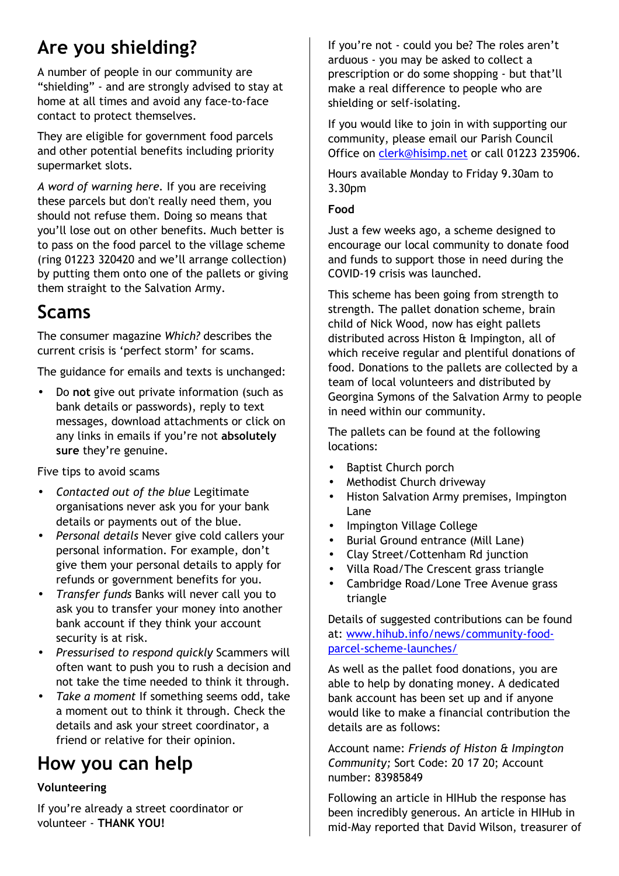# **Are you shielding?**

A number of people in our community are "shielding" - and are strongly advised to stay at home at all times and avoid any face-to-face contact to protect themselves.

They are eligible for government food parcels and other potential benefits including priority supermarket slots.

*A word of warning here.* If you are receiving these parcels but don't really need them, you should not refuse them. Doing so means that you'll lose out on other benefits. Much better is to pass on the food parcel to the village scheme (ring 01223 320420 and we'll arrange collection) by putting them onto one of the pallets or giving them straight to the Salvation Army.

## **Scams**

The consumer magazine *Which?* describes the current crisis is 'perfect storm' for scams.

The guidance for emails and texts is unchanged:

• Do **not** give out private information (such as bank details or passwords), reply to text messages, download attachments or click on any links in emails if you're not **absolutely sure** they're genuine.

Five tips to avoid scams

- *Contacted out of the blue* Legitimate organisations never ask you for your bank details or payments out of the blue.
- *Personal details* Never give cold callers your personal information. For example, don't give them your personal details to apply for refunds or government benefits for you.
- *Transfer funds* Banks will never call you to ask you to transfer your money into another bank account if they think your account security is at risk.
- *Pressurised to respond quickly* Scammers will often want to push you to rush a decision and not take the time needed to think it through.
- *Take a moment* If something seems odd, take a moment out to think it through. Check the details and ask your street coordinator, a friend or relative for their opinion.

# **How you can help**

#### **Volunteering**

If you're already a street coordinator or volunteer - **THANK YOU!**

If you're not - could you be? The roles aren't arduous - you may be asked to collect a prescription or do some shopping - but that'll make a real difference to people who are shielding or self-isolating.

If you would like to join in with supporting our community, please email our Parish Council Office on clerk@hisimp.net or call 01223 235906.

Hours available Monday to Friday 9.30am to 3.30pm

#### **Food**

Just a few weeks ago, a scheme designed to encourage our local community to donate food and funds to support those in need during the COVID-19 crisis was launched.

This scheme has been going from strength to strength. The pallet donation scheme, brain child of Nick Wood, now has eight pallets distributed across Histon & Impington, all of which receive regular and plentiful donations of food. Donations to the pallets are collected by a team of local volunteers and distributed by Georgina Symons of the Salvation Army to people in need within our community.

The pallets can be found at the following locations:

- Baptist Church porch
- Methodist Church driveway
- Histon Salvation Army premises, Impington Lane
- Impington Village College
- Burial Ground entrance (Mill Lane)
- Clay Street/Cottenham Rd junction
- Villa Road/The Crescent grass triangle
- Cambridge Road/Lone Tree Avenue grass triangle

Details of suggested contributions can be found at: www.hihub.info/news/community-foodparcel-scheme-launches/

As well as the pallet food donations, you are able to help by donating money. A dedicated bank account has been set up and if anyone would like to make a financial contribution the details are as follows:

Account name: *Friends of Histon & Impington Community;* Sort Code: 20 17 20; Account number: 83985849

Following an article in HIHub the response has been incredibly generous. An article in HIHub in mid-May reported that David Wilson, treasurer of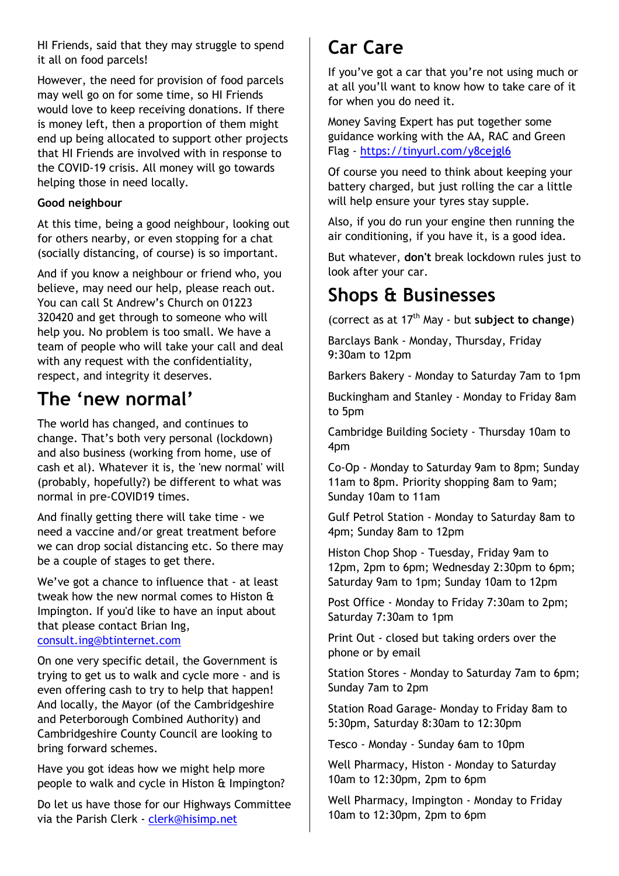HI Friends, said that they may struggle to spend it all on food parcels!

However, the need for provision of food parcels may well go on for some time, so HI Friends would love to keep receiving donations. If there is money left, then a proportion of them might end up being allocated to support other projects that HI Friends are involved with in response to the COVID-19 crisis. All money will go towards helping those in need locally.

#### **Good neighbour**

At this time, being a good neighbour, looking out for others nearby, or even stopping for a chat (socially distancing, of course) is so important.

And if you know a neighbour or friend who, you believe, may need our help, please reach out. You can call St Andrew's Church on 01223 320420 and get through to someone who will help you. No problem is too small. We have a team of people who will take your call and deal with any request with the confidentiality, respect, and integrity it deserves.

### **The 'new normal'**

The world has changed, and continues to change. That's both very personal (lockdown) and also business (working from home, use of cash et al). Whatever it is, the 'new normal' will (probably, hopefully?) be different to what was normal in pre-COVID19 times.

And finally getting there will take time - we need a vaccine and/or great treatment before we can drop social distancing etc. So there may be a couple of stages to get there.

We've got a chance to influence that - at least tweak how the new normal comes to Histon & Impington. If you'd like to have an input about that please contact Brian Ing, consult.ing@btinternet.com

On one very specific detail, the Government is trying to get us to walk and cycle more - and is even offering cash to try to help that happen! And locally, the Mayor (of the Cambridgeshire and Peterborough Combined Authority) and Cambridgeshire County Council are looking to bring forward schemes.

Have you got ideas how we might help more people to walk and cycle in Histon & Impington?

Do let us have those for our Highways Committee via the Parish Clerk - clerk@hisimp.net

### **Car Care**

If you've got a car that you're not using much or at all you'll want to know how to take care of it for when you do need it.

Money Saving Expert has put together some guidance working with the AA, RAC and Green Flag - https://tinyurl.com/y8cejgl6

Of course you need to think about keeping your battery charged, but just rolling the car a little will help ensure your tyres stay supple.

Also, if you do run your engine then running the air conditioning, if you have it, is a good idea.

But whatever, **don't** break lockdown rules just to look after your car.

### **Shops & Businesses**

(correct as at 17th May - but **subject to change**)

Barclays Bank - Monday, Thursday, Friday 9:30am to 12pm

Barkers Bakery - Monday to Saturday 7am to 1pm

Buckingham and Stanley - Monday to Friday 8am to 5pm

Cambridge Building Society - Thursday 10am to 4pm

Co-Op - Monday to Saturday 9am to 8pm; Sunday 11am to 8pm. Priority shopping 8am to 9am; Sunday 10am to 11am

Gulf Petrol Station - Monday to Saturday 8am to 4pm; Sunday 8am to 12pm

Histon Chop Shop - Tuesday, Friday 9am to 12pm, 2pm to 6pm; Wednesday 2:30pm to 6pm; Saturday 9am to 1pm; Sunday 10am to 12pm

Post Office - Monday to Friday 7:30am to 2pm; Saturday 7:30am to 1pm

Print Out - closed but taking orders over the phone or by email

Station Stores - Monday to Saturday 7am to 6pm; Sunday 7am to 2pm

Station Road Garage- Monday to Friday 8am to 5:30pm, Saturday 8:30am to 12:30pm

Tesco - Monday - Sunday 6am to 10pm

Well Pharmacy, Histon - Monday to Saturday 10am to 12:30pm, 2pm to 6pm

Well Pharmacy, Impington - Monday to Friday 10am to 12:30pm, 2pm to 6pm